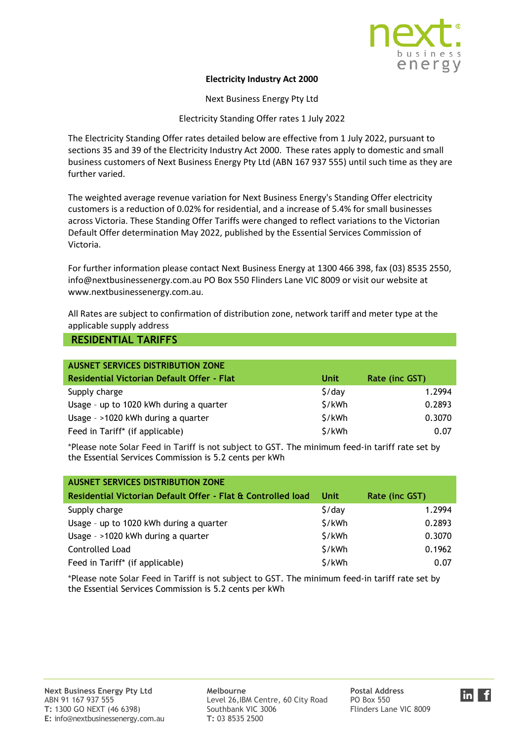

## **Electricity Industry Act 2000**

Next Business Energy Pty Ltd

Electricity Standing Offer rates 1 July 2022

The Electricity Standing Offer rates detailed below are effective from 1 July 2022, pursuant to sections 35 and 39 of the Electricity Industry Act 2000. These rates apply to domestic and small business customers of Next Business Energy Pty Ltd (ABN 167 937 555) until such time as they are further varied.

The weighted average revenue variation for Next Business Energy's Standing Offer electricity customers is a reduction of 0.02% for residential, and a increase of 5.4% for small businesses across Victoria. These Standing Offer Tariffs were changed to reflect variations to the Victorian Default Offer determination May 2022, published by the Essential Services Commission of Victoria.

For further information please contact Next Business Energy at 1300 466 398, fax (03) 8535 2550, info@nextbusinessenergy.com.au PO Box 550 Flinders Lane VIC 8009 or visit our website at www.nextbusinessenergy.com.au.

All Rates are subject to confirmation of distribution zone, network tariff and meter type at the applicable supply address

## **RESIDENTIAL TARIFFS**

| <b>AUSNET SERVICES DISTRIBUTION ZONE</b>          |                    |                |
|---------------------------------------------------|--------------------|----------------|
| <b>Residential Victorian Default Offer - Flat</b> | <b>Unit</b>        | Rate (inc GST) |
| Supply charge                                     | $\frac{1}{2}$ /day | 1.2994         |
| Usage - up to 1020 kWh during a quarter           | \$/kWh             | 0.2893         |
| Usage - >1020 kWh during a quarter                | \$/kWh             | 0.3070         |
| Feed in Tariff* (if applicable)                   | \$/kWh             | 0.07           |

\*Please note Solar Feed in Tariff is not subject to GST. The minimum feed-in tariff rate set by the Essential Services Commission is 5.2 cents per kWh

| <b>AUSNET SERVICES DISTRIBUTION ZONE</b>                     |                    |                |
|--------------------------------------------------------------|--------------------|----------------|
| Residential Victorian Default Offer - Flat & Controlled load | Unit               | Rate (inc GST) |
| Supply charge                                                | $\frac{1}{2}$ /day | 1.2994         |
| Usage - up to 1020 kWh during a quarter                      | \$/kWh             | 0.2893         |
| Usage - >1020 kWh during a quarter                           | \$/kWh             | 0.3070         |
| <b>Controlled Load</b>                                       | \$/kWh             | 0.1962         |
| Feed in Tariff* (if applicable)                              | \$/kWh             | 0.07           |

\*Please note Solar Feed in Tariff is not subject to GST. The minimum feed-in tariff rate set by the Essential Services Commission is 5.2 cents per kWh

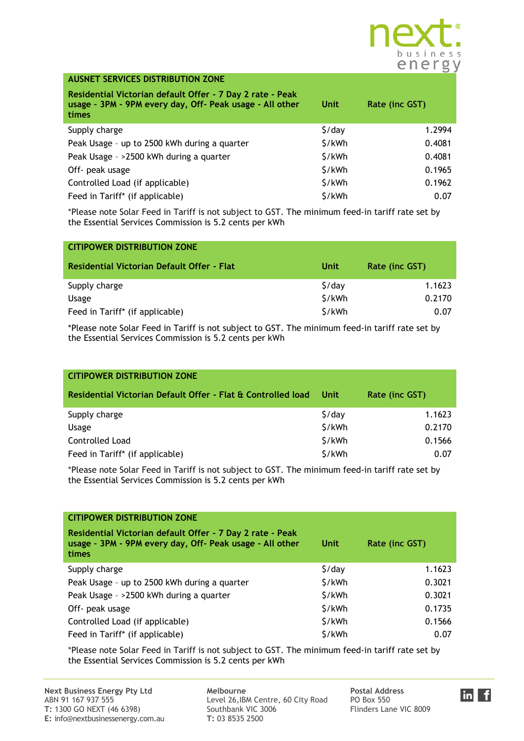

| <b>AUSNET SERVICES DISTRIBUTION ZONE</b>                                                                                       |                    |                |
|--------------------------------------------------------------------------------------------------------------------------------|--------------------|----------------|
| Residential Victorian default Offer - 7 Day 2 rate - Peak<br>usage - 3PM - 9PM every day, Off- Peak usage - All other<br>times | Unit               | Rate (inc GST) |
| Supply charge                                                                                                                  | $\frac{1}{2}$ /day | 1.2994         |
| Peak Usage - up to 2500 kWh during a quarter                                                                                   | \$/kWh             | 0.4081         |
| Peak Usage - >2500 kWh during a quarter                                                                                        | \$/kWh             | 0.4081         |
| Off- peak usage                                                                                                                | \$/kWh             | 0.1965         |
| Controlled Load (if applicable)                                                                                                | \$/kWh             | 0.1962         |
| Feed in Tariff* (if applicable)                                                                                                | \$/kWh             | 0.07           |

| <b>CITIPOWER DISTRIBUTION ZONE</b>         |                    |                |
|--------------------------------------------|--------------------|----------------|
| Residential Victorian Default Offer - Flat | Unit               | Rate (inc GST) |
| Supply charge                              | $\frac{1}{2}$ /day | 1.1623         |
| Usage                                      | \$/kWh             | 0.2170         |
| Feed in Tariff* (if applicable)            | \$/kWh             | 0.07           |

\*Please note Solar Feed in Tariff is not subject to GST. The minimum feed-in tariff rate set by the Essential Services Commission is 5.2 cents per kWh

| <b>CITIPOWER DISTRIBUTION ZONE</b>                           |                    |                |
|--------------------------------------------------------------|--------------------|----------------|
| Residential Victorian Default Offer - Flat & Controlled load | <b>Unit</b>        | Rate (inc GST) |
| Supply charge                                                | $\frac{1}{2}$ /day | 1.1623         |
| Usage                                                        | \$/kWh             | 0.2170         |
| <b>Controlled Load</b>                                       | \$/kWh             | 0.1566         |
| Feed in Tariff* (if applicable)                              | \$/kWh             | 0.07           |

\*Please note Solar Feed in Tariff is not subject to GST. The minimum feed-in tariff rate set by the Essential Services Commission is 5.2 cents per kWh

| <b>CITIPOWER DISTRIBUTION ZONE</b>                                                                                                    |                    |                |
|---------------------------------------------------------------------------------------------------------------------------------------|--------------------|----------------|
| Residential Victorian default Offer - 7 Day 2 rate - Peak<br>usage - 3PM - 9PM every day, Off- Peak usage - All other<br><b>times</b> | Unit               | Rate (inc GST) |
| Supply charge                                                                                                                         | $\frac{1}{2}$ /day | 1.1623         |
| Peak Usage - up to 2500 kWh during a quarter                                                                                          | \$/kWh             | 0.3021         |
| Peak Usage - >2500 kWh during a quarter                                                                                               | \$/kWh             | 0.3021         |
| Off- peak usage                                                                                                                       | \$/kWh             | 0.1735         |
| Controlled Load (if applicable)                                                                                                       | \$/kWh             | 0.1566         |
| Feed in Tariff* (if applicable)                                                                                                       | \$/kWh             | 0.07           |

\*Please note Solar Feed in Tariff is not subject to GST. The minimum feed-in tariff rate set by the Essential Services Commission is 5.2 cents per kWh

**Next Business Energy Pty Ltd** Melbourne<br>
ABN 91 167 937 555<br> **Postal Address Postal Address Postal Address Postal Address Postal Address Postal Address Postal Address Postal Address Postal Address Postal** Level 26,IBM Centre, 60 City Road PO Box 550<br>Southbank VIC 3006 Flinders Lane VIC 8009

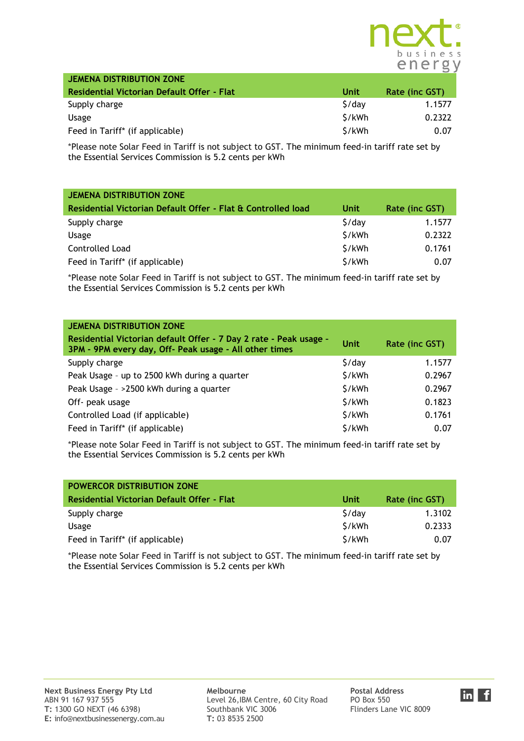

| JEMENA DISTRIBUTION ZONE                    |        |                |
|---------------------------------------------|--------|----------------|
| Residential Victorian Default Offer - Flat  | Unit   | Rate (inc GST) |
| Supply charge                               | \$/day | 1.1577         |
| <b>Usage</b>                                | \$/kWh | 0.2322         |
| Feed in Tariff <sup>*</sup> (if applicable) | S/kWh  | 0.07           |

| <b>JEMENA DISTRIBUTION ZONE</b>                              |                    |                |
|--------------------------------------------------------------|--------------------|----------------|
| Residential Victorian Default Offer - Flat & Controlled load | Unit               | Rate (inc GST) |
| Supply charge                                                | $\frac{1}{2}$ /day | 1.1577         |
| Usage                                                        | \$/kWh             | 0.2322         |
| Controlled Load                                              | \$/kWh             | 0.1761         |
| Feed in Tariff* (if applicable)                              | \$/kWh             | 0.07           |

\*Please note Solar Feed in Tariff is not subject to GST. The minimum feed-in tariff rate set by the Essential Services Commission is 5.2 cents per kWh

| <b>JEMENA DISTRIBUTION ZONE</b><br>Residential Victorian default Offer - 7 Day 2 rate - Peak usage -<br>3PM - 9PM every day, Off- Peak usage - All other times | <b>Unit</b>        | Rate (inc GST) |
|----------------------------------------------------------------------------------------------------------------------------------------------------------------|--------------------|----------------|
| Supply charge                                                                                                                                                  | $\frac{1}{2}$ /day | 1.1577         |
| Peak Usage - up to 2500 kWh during a quarter                                                                                                                   | \$/kWh             | 0.2967         |
| Peak Usage - >2500 kWh during a quarter                                                                                                                        | \$/kWh             | 0.2967         |
| Off- peak usage                                                                                                                                                | \$/kWh             | 0.1823         |
| Controlled Load (if applicable)                                                                                                                                | \$/kWh             | 0.1761         |
| Feed in Tariff* (if applicable)                                                                                                                                | \$/kWh             | 0.07           |

\*Please note Solar Feed in Tariff is not subject to GST. The minimum feed-in tariff rate set by the Essential Services Commission is 5.2 cents per kWh

| <b>POWERCOR DISTRIBUTION ZONE</b>           |        |                |
|---------------------------------------------|--------|----------------|
| Residential Victorian Default Offer - Flat  | Unit   | Rate (inc GST) |
| Supply charge                               | S/dav  | 1.3102         |
| Usage                                       | S/kWh  | 0.2333         |
| Feed in Tariff <sup>*</sup> (if applicable) | \$/kWh | 0.07           |

\*Please note Solar Feed in Tariff is not subject to GST. The minimum feed-in tariff rate set by the Essential Services Commission is 5.2 cents per kWh

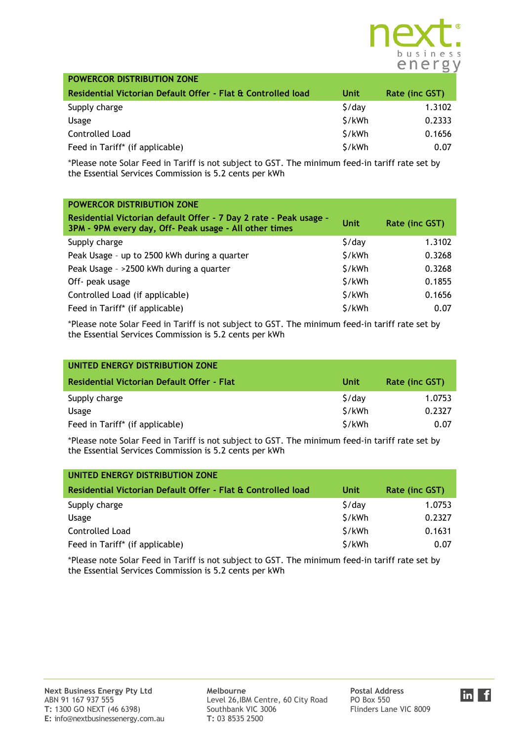

| <b>POWERCOR DISTRIBUTION ZONE</b>                            |                    |                |
|--------------------------------------------------------------|--------------------|----------------|
| Residential Victorian Default Offer - Flat & Controlled load | Unit               | Rate (inc GST) |
| Supply charge                                                | $\frac{1}{2}$ /day | 1.3102         |
| Usage                                                        | \$/kWh             | 0.2333         |
| Controlled Load                                              | \$/kWh             | 0.1656         |
| Feed in Tariff* (if applicable)                              | \$/kWh             | 0.07           |

| <b>POWERCOR DISTRIBUTION ZONE</b>                                                                                           |                    |                |
|-----------------------------------------------------------------------------------------------------------------------------|--------------------|----------------|
| Residential Victorian default Offer - 7 Day 2 rate - Peak usage -<br>3PM - 9PM every day, Off- Peak usage - All other times | Unit               | Rate (inc GST) |
| Supply charge                                                                                                               | $\frac{1}{2}$ /day | 1.3102         |
| Peak Usage - up to 2500 kWh during a quarter                                                                                | \$/kWh             | 0.3268         |
| Peak Usage - >2500 kWh during a quarter                                                                                     | \$/kWh             | 0.3268         |
| Off- peak usage                                                                                                             | \$/kWh             | 0.1855         |
| Controlled Load (if applicable)                                                                                             | \$/kWh             | 0.1656         |
| Feed in Tariff* (if applicable)                                                                                             | \$/kWh             | 0.07           |

\*Please note Solar Feed in Tariff is not subject to GST. The minimum feed-in tariff rate set by the Essential Services Commission is 5.2 cents per kWh

| UNITED ENERGY DISTRIBUTION ZONE                   |                    |                |
|---------------------------------------------------|--------------------|----------------|
| <b>Residential Victorian Default Offer - Flat</b> | Unit               | Rate (inc GST) |
| Supply charge                                     | $\frac{1}{2}$ /day | 1.0753         |
| Usage                                             | \$/kWh             | 0.2327         |
| Feed in Tariff* (if applicable)                   | \$/kWh             | 0.07           |

\*Please note Solar Feed in Tariff is not subject to GST. The minimum feed-in tariff rate set by the Essential Services Commission is 5.2 cents per kWh

| UNITED ENERGY DISTRIBUTION ZONE                              |                    |                |
|--------------------------------------------------------------|--------------------|----------------|
| Residential Victorian Default Offer - Flat & Controlled load | Unit               | Rate (inc GST) |
| Supply charge                                                | $\frac{1}{2}$ /day | 1.0753         |
| Usage                                                        | \$/kWh             | 0.2327         |
| <b>Controlled Load</b>                                       | \$/kWh             | 0.1631         |
| Feed in Tariff* (if applicable)                              | \$/kWh             | 0.07           |

\*Please note Solar Feed in Tariff is not subject to GST. The minimum feed-in tariff rate set by the Essential Services Commission is 5.2 cents per kWh

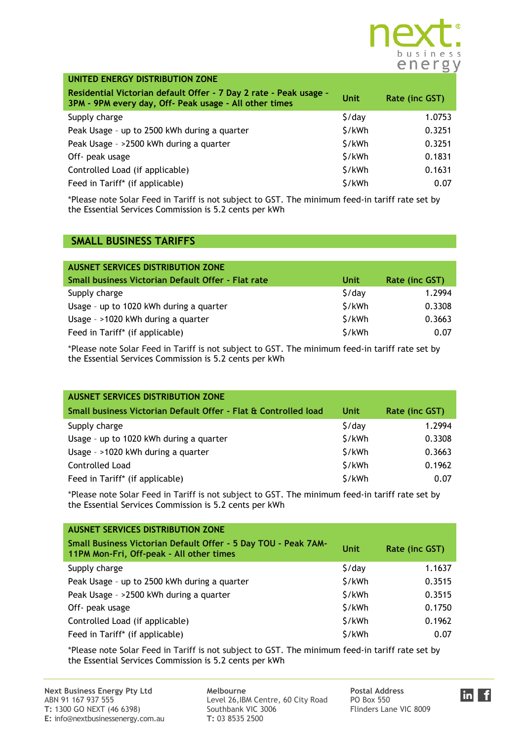

| UNITED ENERGY DISTRIBUTION ZONE                                                                                             |             |                |
|-----------------------------------------------------------------------------------------------------------------------------|-------------|----------------|
| Residential Victorian default Offer - 7 Day 2 rate - Peak usage -<br>3PM - 9PM every day, Off- Peak usage - All other times | <b>Unit</b> | Rate (inc GST) |
| Supply charge                                                                                                               | \$/day      | 1.0753         |
| Peak Usage - up to 2500 kWh during a quarter                                                                                | \$/kWh      | 0.3251         |
| Peak Usage - >2500 kWh during a quarter                                                                                     | \$/kWh      | 0.3251         |
| Off- peak usage                                                                                                             | \$/kWh      | 0.1831         |
| Controlled Load (if applicable)                                                                                             | \$/kWh      | 0.1631         |
| Feed in Tariff* (if applicable)                                                                                             | \$/kWh      | 0.07           |

## **SMALL BUSINESS TARIFFS**

| <b>AUSNET SERVICES DISTRIBUTION ZONE</b>           |                    |                |
|----------------------------------------------------|--------------------|----------------|
| Small business Victorian Default Offer - Flat rate | Unit               | Rate (inc GST) |
| Supply charge                                      | $\frac{1}{2}$ /day | 1.2994         |
| Usage - up to 1020 kWh during a quarter            | \$/kWh             | 0.3308         |
| Usage - >1020 kWh during a quarter                 | \$/kWh             | 0.3663         |
| Feed in Tariff* (if applicable)                    | \$/kWh             | 0.07           |

\*Please note Solar Feed in Tariff is not subject to GST. The minimum feed-in tariff rate set by the Essential Services Commission is 5.2 cents per kWh

| <b>AUSNET SERVICES DISTRIBUTION ZONE</b>                        |                    |                |
|-----------------------------------------------------------------|--------------------|----------------|
| Small business Victorian Default Offer - Flat & Controlled load | Unit               | Rate (inc GST) |
| Supply charge                                                   | $\frac{1}{2}$ /day | 1.2994         |
| Usage - up to 1020 kWh during a quarter                         | \$/kWh             | 0.3308         |
| Usage - >1020 kWh during a quarter                              | \$/kWh             | 0.3663         |
| <b>Controlled Load</b>                                          | \$/kWh             | 0.1962         |
| Feed in Tariff* (if applicable)                                 | \$/kWh             | 0.07           |

\*Please note Solar Feed in Tariff is not subject to GST. The minimum feed-in tariff rate set by the Essential Services Commission is 5.2 cents per kWh

| <b>AUSNET SERVICES DISTRIBUTION ZONE</b>                                                                   |                    |                |
|------------------------------------------------------------------------------------------------------------|--------------------|----------------|
| Small Business Victorian Default Offer - 5 Day TOU - Peak 7AM-<br>11PM Mon-Fri, Off-peak - All other times | <b>Unit</b>        | Rate (inc GST) |
| Supply charge                                                                                              | $\frac{1}{2}$ /day | 1.1637         |
| Peak Usage - up to 2500 kWh during a quarter                                                               | \$/kWh             | 0.3515         |
| Peak Usage - >2500 kWh during a quarter                                                                    | \$/kWh             | 0.3515         |
| Off- peak usage                                                                                            | \$/kWh             | 0.1750         |
| Controlled Load (if applicable)                                                                            | \$/kWh             | 0.1962         |
| Feed in Tariff* (if applicable)                                                                            | \$/kWh             | 0.07           |

\*Please note Solar Feed in Tariff is not subject to GST. The minimum feed-in tariff rate set by the Essential Services Commission is 5.2 cents per kWh

Level 26,IBM Centre, 60 City Road PO Box 550<br>Southbank VIC 3006 Flinders Lane VIC 8009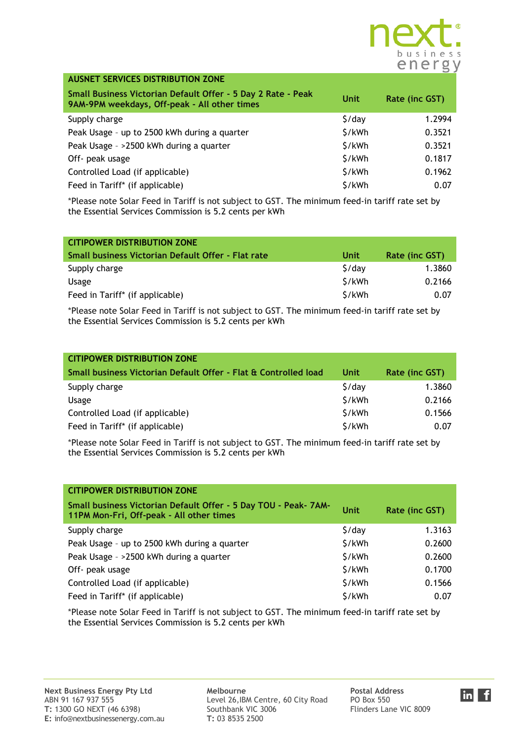

| <b>AUSNET SERVICES DISTRIBUTION ZONE</b>                                                                     |                    |                |
|--------------------------------------------------------------------------------------------------------------|--------------------|----------------|
| Small Business Victorian Default Offer - 5 Day 2 Rate - Peak<br>9AM-9PM weekdays, Off-peak - All other times | <b>Unit</b>        | Rate (inc GST) |
| Supply charge                                                                                                | $\frac{1}{2}$ /day | 1.2994         |
| Peak Usage - up to 2500 kWh during a quarter                                                                 | \$/kWh             | 0.3521         |
| Peak Usage - >2500 kWh during a quarter                                                                      | \$/kWh             | 0.3521         |
| Off- peak usage                                                                                              | \$/kWh             | 0.1817         |
| Controlled Load (if applicable)                                                                              | \$/kWh             | 0.1962         |
| Feed in Tariff* (if applicable)                                                                              | \$/kWh             | 0.07           |

| <b>CITIPOWER DISTRIBUTION ZONE</b>                 |                    |                |
|----------------------------------------------------|--------------------|----------------|
| Small business Victorian Default Offer - Flat rate | Unit               | Rate (inc GST) |
| Supply charge                                      | $\frac{1}{2}$ /day | 1.3860         |
| Usage                                              | \$/kWh             | 0.2166         |
| Feed in Tariff <sup>*</sup> (if applicable)        | S/kWh              | 0.07           |

\*Please note Solar Feed in Tariff is not subject to GST. The minimum feed-in tariff rate set by the Essential Services Commission is 5.2 cents per kWh

| <b>CITIPOWER DISTRIBUTION ZONE</b>                              |                    |                |
|-----------------------------------------------------------------|--------------------|----------------|
| Small business Victorian Default Offer - Flat & Controlled load | Unit               | Rate (inc GST) |
| Supply charge                                                   | $\frac{1}{2}$ /day | 1.3860         |
| Usage                                                           | \$/kWh             | 0.2166         |
| Controlled Load (if applicable)                                 | \$/kWh             | 0.1566         |
| Feed in Tariff* (if applicable)                                 | \$/kWh             | 0.07           |

\*Please note Solar Feed in Tariff is not subject to GST. The minimum feed-in tariff rate set by the Essential Services Commission is 5.2 cents per kWh

| <b>CITIPOWER DISTRIBUTION ZONE</b>                                                                          |                    |                |
|-------------------------------------------------------------------------------------------------------------|--------------------|----------------|
| Small business Victorian Default Offer - 5 Day TOU - Peak- 7AM-<br>11PM Mon-Fri, Off-peak - All other times | <b>Unit</b>        | Rate (inc GST) |
| Supply charge                                                                                               | $\frac{1}{2}$ /day | 1.3163         |
| Peak Usage - up to 2500 kWh during a quarter                                                                | \$/kWh             | 0.2600         |
| Peak Usage - >2500 kWh during a quarter                                                                     | \$/kWh             | 0.2600         |
| Off- peak usage                                                                                             | \$/kWh             | 0.1700         |
| Controlled Load (if applicable)                                                                             | \$/kWh             | 0.1566         |
| Feed in Tariff* (if applicable)                                                                             | \$/kWh             | 0.07           |

\*Please note Solar Feed in Tariff is not subject to GST. The minimum feed-in tariff rate set by the Essential Services Commission is 5.2 cents per kWh

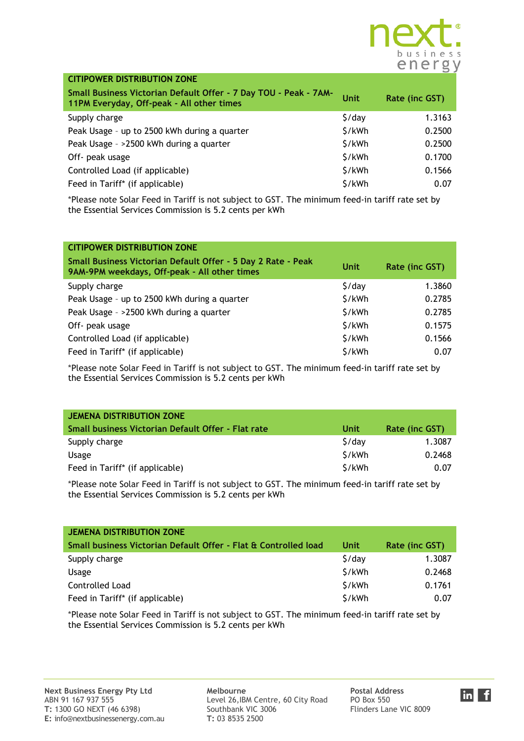

| <b>CITIPOWER DISTRIBUTION ZONE</b>                                                                            |                    |                |
|---------------------------------------------------------------------------------------------------------------|--------------------|----------------|
| Small Business Victorian Default Offer - 7 Day TOU - Peak - 7AM-<br>11PM Everyday, Off-peak - All other times | <b>Unit</b>        | Rate (inc GST) |
| Supply charge                                                                                                 | $\frac{1}{2}$ /day | 1.3163         |
| Peak Usage - up to 2500 kWh during a quarter                                                                  | \$/kWh             | 0.2500         |
| Peak Usage - >2500 kWh during a quarter                                                                       | \$/kWh             | 0.2500         |
| Off- peak usage                                                                                               | \$/kWh             | 0.1700         |
| Controlled Load (if applicable)                                                                               | \$/kWh             | 0.1566         |
| Feed in Tariff* (if applicable)                                                                               | \$/kWh             | 0.07           |

| <b>CITIPOWER DISTRIBUTION ZONE</b>                                                                           |                    |                |
|--------------------------------------------------------------------------------------------------------------|--------------------|----------------|
| Small Business Victorian Default Offer - 5 Day 2 Rate - Peak<br>9AM-9PM weekdays, Off-peak - All other times | Unit               | Rate (inc GST) |
| Supply charge                                                                                                | $\frac{1}{2}$ /day | 1.3860         |
| Peak Usage - up to 2500 kWh during a quarter                                                                 | \$/kWh             | 0.2785         |
| Peak Usage - >2500 kWh during a quarter                                                                      | \$/kWh             | 0.2785         |
| Off- peak usage                                                                                              | \$/kWh             | 0.1575         |
| Controlled Load (if applicable)                                                                              | \$/kWh             | 0.1566         |
| Feed in Tariff* (if applicable)                                                                              | \$/kWh             | 0.07           |

\*Please note Solar Feed in Tariff is not subject to GST. The minimum feed-in tariff rate set by the Essential Services Commission is 5.2 cents per kWh

| <b>JEMENA DISTRIBUTION ZONE</b>                    |        |                |
|----------------------------------------------------|--------|----------------|
| Small business Victorian Default Offer - Flat rate | Unit   | Rate (inc GST) |
| Supply charge                                      | S/dav  | 1.3087         |
| Usage                                              | \$/kWh | 0.2468         |
| Feed in Tariff* (if applicable)                    | \$/kWh | 0.07           |

\*Please note Solar Feed in Tariff is not subject to GST. The minimum feed-in tariff rate set by the Essential Services Commission is 5.2 cents per kWh

| <b>JEMENA DISTRIBUTION ZONE</b>                                 |                    |                |
|-----------------------------------------------------------------|--------------------|----------------|
| Small business Victorian Default Offer - Flat & Controlled load | Unit               | Rate (inc GST) |
| Supply charge                                                   | $\frac{1}{2}$ /day | 1.3087         |
| <b>Usage</b>                                                    | \$/kWh             | 0.2468         |
| Controlled Load                                                 | \$/kWh             | 0.1761         |
| Feed in Tariff* (if applicable)                                 | \$/kWh             | 0.07           |

\*Please note Solar Feed in Tariff is not subject to GST. The minimum feed-in tariff rate set by the Essential Services Commission is 5.2 cents per kWh

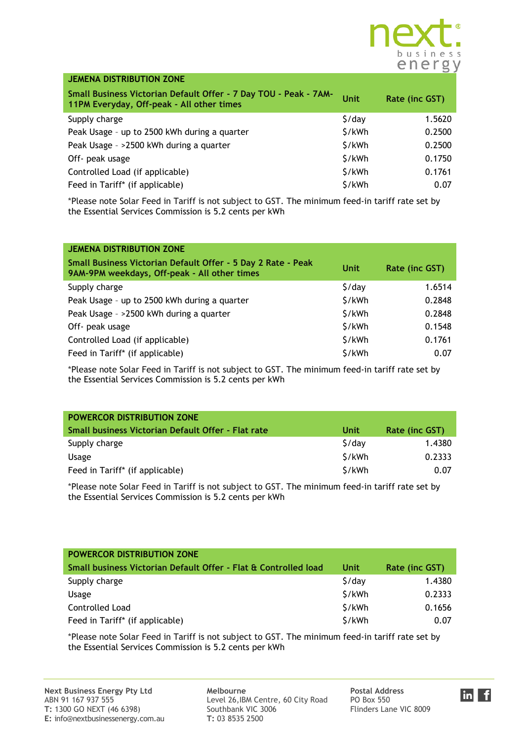

| <b>JEMENA DISTRIBUTION ZONE</b>                                                                               |                    |                |
|---------------------------------------------------------------------------------------------------------------|--------------------|----------------|
| Small Business Victorian Default Offer - 7 Day TOU - Peak - 7AM-<br>11PM Everyday, Off-peak - All other times | <b>Unit</b>        | Rate (inc GST) |
| Supply charge                                                                                                 | $\frac{1}{2}$ /day | 1.5620         |
| Peak Usage - up to 2500 kWh during a quarter                                                                  | \$/kWh             | 0.2500         |
| Peak Usage - >2500 kWh during a quarter                                                                       | \$/kWh             | 0.2500         |
| Off- peak usage                                                                                               | \$/kWh             | 0.1750         |
| Controlled Load (if applicable)                                                                               | \$/kWh             | 0.1761         |
| Feed in Tariff* (if applicable)                                                                               | \$/kWh             | 0.07           |

| <b>JEMENA DISTRIBUTION ZONE</b>                                                                              |                    |                |
|--------------------------------------------------------------------------------------------------------------|--------------------|----------------|
| Small Business Victorian Default Offer - 5 Day 2 Rate - Peak<br>9AM-9PM weekdays, Off-peak - All other times | Unit               | Rate (inc GST) |
| Supply charge                                                                                                | $\frac{1}{2}$ /day | 1.6514         |
| Peak Usage - up to 2500 kWh during a quarter                                                                 | \$/kWh             | 0.2848         |
| Peak Usage - >2500 kWh during a quarter                                                                      | \$/kWh             | 0.2848         |
| Off- peak usage                                                                                              | \$/kWh             | 0.1548         |
| Controlled Load (if applicable)                                                                              | \$/kWh             | 0.1761         |
| Feed in Tariff* (if applicable)                                                                              | \$/kWh             | 0.07           |

\*Please note Solar Feed in Tariff is not subject to GST. The minimum feed-in tariff rate set by the Essential Services Commission is 5.2 cents per kWh

| <b>POWERCOR DISTRIBUTION ZONE</b>                  |             |                |
|----------------------------------------------------|-------------|----------------|
| Small business Victorian Default Offer - Flat rate | <b>Unit</b> | Rate (inc GST) |
| Supply charge                                      | S/dav       | 1.4380         |
| Usage                                              | S/kWh       | 0.2333         |
| Feed in Tariff <sup>*</sup> (if applicable)        | \$/kWh      | 0.07           |

\*Please note Solar Feed in Tariff is not subject to GST. The minimum feed-in tariff rate set by the Essential Services Commission is 5.2 cents per kWh

| <b>POWERCOR DISTRIBUTION ZONE</b>                               |        |                |
|-----------------------------------------------------------------|--------|----------------|
| Small business Victorian Default Offer - Flat & Controlled load | Unit   | Rate (inc GST) |
| Supply charge                                                   | 5/day  | 1.4380         |
| <b>Usage</b>                                                    | \$/kWh | 0.2333         |
| Controlled Load                                                 | \$/kWh | 0.1656         |
| Feed in Tariff* (if applicable)                                 | \$/kWh | 0.07           |

\*Please note Solar Feed in Tariff is not subject to GST. The minimum feed-in tariff rate set by the Essential Services Commission is 5.2 cents per kWh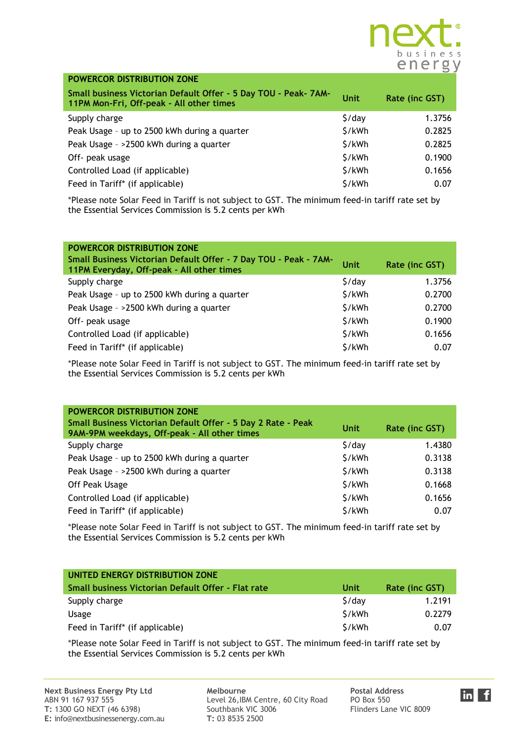

| POWERCOR DISTRIBUTION ZONE                                                                                  |                    |                |
|-------------------------------------------------------------------------------------------------------------|--------------------|----------------|
| Small business Victorian Default Offer - 5 Day TOU - Peak- 7AM-<br>11PM Mon-Fri, Off-peak - All other times | <b>Unit</b>        | Rate (inc GST) |
| Supply charge                                                                                               | $\frac{1}{2}$ /day | 1.3756         |
| Peak Usage - up to 2500 kWh during a quarter                                                                | \$/kWh             | 0.2825         |
| Peak Usage - >2500 kWh during a quarter                                                                     | \$/kWh             | 0.2825         |
| Off- peak usage                                                                                             | \$/kWh             | 0.1900         |
| Controlled Load (if applicable)                                                                             | \$/kWh             | 0.1656         |
| Feed in Tariff* (if applicable)                                                                             | \$/kWh             | 0.07           |

| POWERCOR DISTRIBUTION ZONE<br>Small Business Victorian Default Offer - 7 Day TOU - Peak - 7AM-<br>11PM Everyday, Off-peak - All other times | <b>Unit</b>        | Rate (inc GST) |
|---------------------------------------------------------------------------------------------------------------------------------------------|--------------------|----------------|
| Supply charge                                                                                                                               | $\frac{1}{2}$ /day | 1.3756         |
| Peak Usage - up to 2500 kWh during a quarter                                                                                                | \$/kWh             | 0.2700         |
| Peak Usage - >2500 kWh during a quarter                                                                                                     | \$/kWh             | 0.2700         |
| Off- peak usage                                                                                                                             | \$/kWh             | 0.1900         |
| Controlled Load (if applicable)                                                                                                             | \$/kWh             | 0.1656         |
| Feed in Tariff* (if applicable)                                                                                                             | \$/kWh             | 0.07           |

\*Please note Solar Feed in Tariff is not subject to GST. The minimum feed-in tariff rate set by the Essential Services Commission is 5.2 cents per kWh

| POWERCOR DISTRIBUTION ZONE                                                                                   |             |                |
|--------------------------------------------------------------------------------------------------------------|-------------|----------------|
| Small Business Victorian Default Offer - 5 Day 2 Rate - Peak<br>9AM-9PM weekdays, Off-peak - All other times | <b>Unit</b> | Rate (inc GST) |
| Supply charge                                                                                                | \$/day      | 1.4380         |
| Peak Usage - up to 2500 kWh during a quarter                                                                 | \$/kWh      | 0.3138         |
| Peak Usage - >2500 kWh during a quarter                                                                      | \$/kWh      | 0.3138         |
| Off Peak Usage                                                                                               | \$/kWh      | 0.1668         |
| Controlled Load (if applicable)                                                                              | \$/kWh      | 0.1656         |
| Feed in Tariff* (if applicable)                                                                              | \$/kWh      | 0.07           |

\*Please note Solar Feed in Tariff is not subject to GST. The minimum feed-in tariff rate set by the Essential Services Commission is 5.2 cents per kWh

| UNITED ENERGY DISTRIBUTION ZONE                    |        |                |
|----------------------------------------------------|--------|----------------|
| Small business Victorian Default Offer - Flat rate | Unit   | Rate (inc GST) |
| Supply charge                                      | S/dav  | 1.2191         |
| <b>Usage</b>                                       | \$/kWh | 0.2279         |
| Feed in Tariff* (if applicable)                    | S/kWh  | 0.07           |

\*Please note Solar Feed in Tariff is not subject to GST. The minimum feed-in tariff rate set by the Essential Services Commission is 5.2 cents per kWh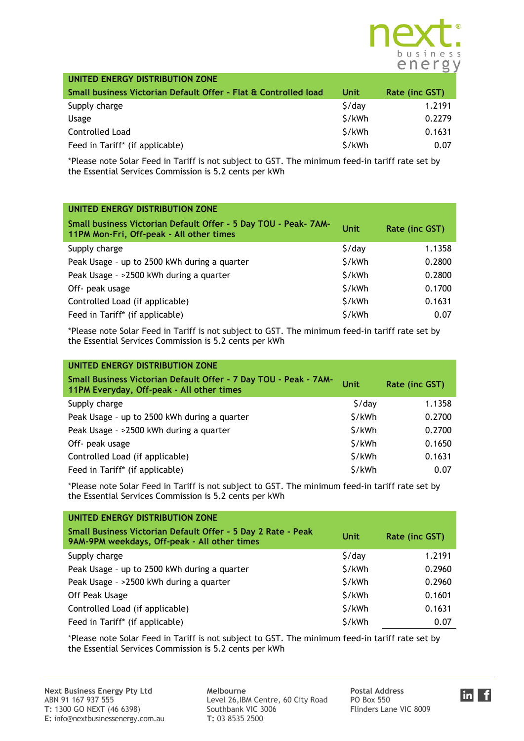

| UNITED ENERGY DISTRIBUTION ZONE                                 |                    |                |
|-----------------------------------------------------------------|--------------------|----------------|
| Small business Victorian Default Offer - Flat & Controlled load | Unit               | Rate (inc GST) |
| Supply charge                                                   | $\frac{1}{2}$ /day | 1.2191         |
| Usage                                                           | \$/kWh             | 0.2279         |
| Controlled Load                                                 | \$/kWh             | 0.1631         |
| Feed in Tariff* (if applicable)                                 | \$/kWh             | 0.07           |

| UNITED ENERGY DISTRIBUTION ZONE                                                                             |             |                |
|-------------------------------------------------------------------------------------------------------------|-------------|----------------|
| Small business Victorian Default Offer - 5 Day TOU - Peak- 7AM-<br>11PM Mon-Fri, Off-peak - All other times | <b>Unit</b> | Rate (inc GST) |
| Supply charge                                                                                               | \$/day      | 1.1358         |
| Peak Usage - up to 2500 kWh during a quarter                                                                | \$/kWh      | 0.2800         |
| Peak Usage - >2500 kWh during a quarter                                                                     | \$/kWh      | 0.2800         |
| Off- peak usage                                                                                             | \$/kWh      | 0.1700         |
| Controlled Load (if applicable)                                                                             | \$/kWh      | 0.1631         |
| Feed in Tariff* (if applicable)                                                                             | \$/kWh      | 0.07           |

\*Please note Solar Feed in Tariff is not subject to GST. The minimum feed-in tariff rate set by the Essential Services Commission is 5.2 cents per kWh

| UNITED ENERGY DISTRIBUTION ZONE                                                                               |                    |                |
|---------------------------------------------------------------------------------------------------------------|--------------------|----------------|
| Small Business Victorian Default Offer - 7 Day TOU - Peak - 7AM-<br>11PM Everyday, Off-peak - All other times | <b>Unit</b>        | Rate (inc GST) |
| Supply charge                                                                                                 | $\frac{1}{2}$ /day | 1.1358         |
| Peak Usage - up to 2500 kWh during a quarter                                                                  | \$/kWh             | 0.2700         |
| Peak Usage - >2500 kWh during a quarter                                                                       | \$/kWh             | 0.2700         |
| Off- peak usage                                                                                               | \$/kWh             | 0.1650         |
| Controlled Load (if applicable)                                                                               | \$/kWh             | 0.1631         |
| Feed in Tariff* (if applicable)                                                                               | \$/kWh             | 0.07           |

\*Please note Solar Feed in Tariff is not subject to GST. The minimum feed-in tariff rate set by the Essential Services Commission is 5.2 cents per kWh

| UNITED ENERGY DISTRIBUTION ZONE                                                                              |                    |                |
|--------------------------------------------------------------------------------------------------------------|--------------------|----------------|
| Small Business Victorian Default Offer - 5 Day 2 Rate - Peak<br>9AM-9PM weekdays, Off-peak - All other times | Unit               | Rate (inc GST) |
| Supply charge                                                                                                | $\frac{1}{2}$ /day | 1.2191         |
| Peak Usage - up to 2500 kWh during a quarter                                                                 | \$/kWh             | 0.2960         |
| Peak Usage - >2500 kWh during a quarter                                                                      | \$/kWh             | 0.2960         |
| Off Peak Usage                                                                                               | \$/kWh             | 0.1601         |
| Controlled Load (if applicable)                                                                              | \$/kWh             | 0.1631         |
| Feed in Tariff* (if applicable)                                                                              | \$/kWh             | 0.07           |

\*Please note Solar Feed in Tariff is not subject to GST. The minimum feed-in tariff rate set by the Essential Services Commission is 5.2 cents per kWh

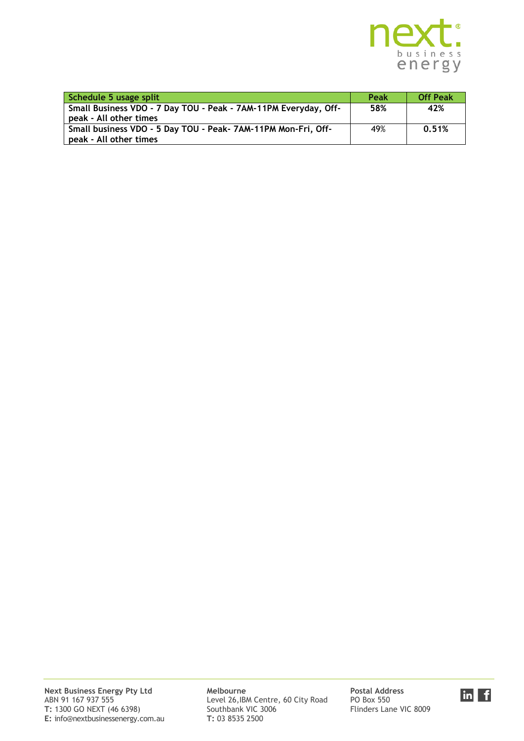

| Schedule 5 usage split                                                                    | Peak | <b>Off Peak</b> |
|-------------------------------------------------------------------------------------------|------|-----------------|
| Small Business VDO - 7 Day TOU - Peak - 7AM-11PM Everyday, Off-<br>peak - All other times | 58%  | 42%             |
| Small business VDO - 5 Day TOU - Peak- 7AM-11PM Mon-Fri, Off-<br>peak - All other times   | 49%  | 0.51%           |